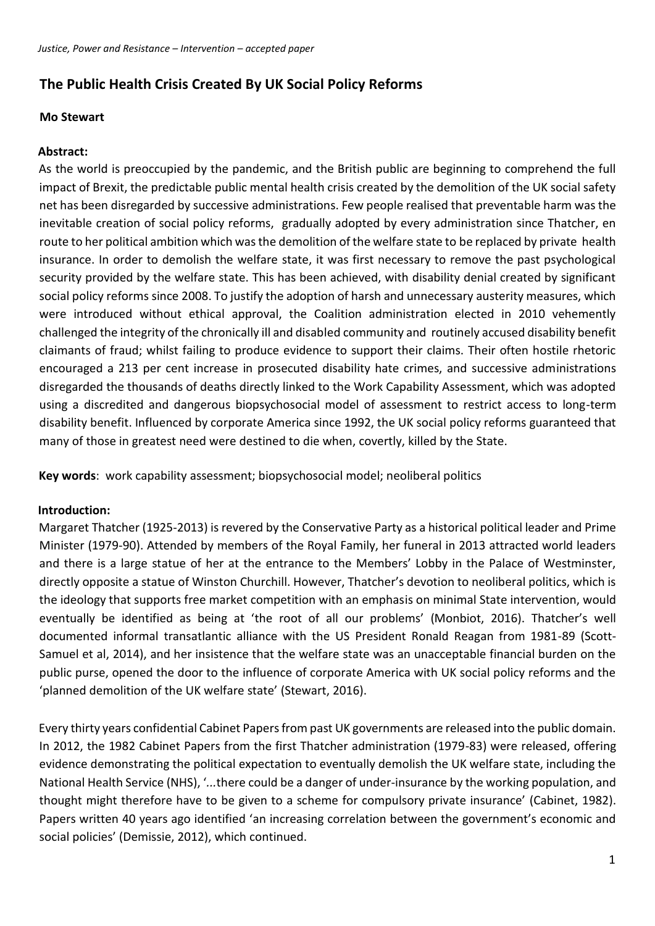# **The Public Health Crisis Created By UK Social Policy Reforms**

#### **Mo Stewart**

### **Abstract:**

As the world is preoccupied by the pandemic, and the British public are beginning to comprehend the full impact of Brexit, the predictable public mental health crisis created by the demolition of the UK social safety net has been disregarded by successive administrations. Few people realised that preventable harm was the inevitable creation of social policy reforms, gradually adopted by every administration since Thatcher, en route to her political ambition which was the demolition of the welfare state to be replaced by private health insurance. In order to demolish the welfare state, it was first necessary to remove the past psychological security provided by the welfare state. This has been achieved, with disability denial created by significant social policy reforms since 2008. To justify the adoption of harsh and unnecessary austerity measures, which were introduced without ethical approval, the Coalition administration elected in 2010 vehemently challenged the integrity of the chronically ill and disabled community and routinely accused disability benefit claimants of fraud; whilst failing to produce evidence to support their claims. Their often hostile rhetoric encouraged a 213 per cent increase in prosecuted disability hate crimes, and successive administrations disregarded the thousands of deaths directly linked to the Work Capability Assessment, which was adopted using a discredited and dangerous biopsychosocial model of assessment to restrict access to long-term disability benefit. Influenced by corporate America since 1992, the UK social policy reforms guaranteed that many of those in greatest need were destined to die when, covertly, killed by the State.

**Key words**: work capability assessment; biopsychosocial model; neoliberal politics

#### **Introduction:**

Margaret Thatcher (1925-2013) is revered by the Conservative Party as a historical political leader and Prime Minister (1979-90). Attended by members of the Royal Family, her funeral in 2013 attracted world leaders and there is a large statue of her at the entrance to the Members' Lobby in the Palace of Westminster, directly opposite a statue of Winston Churchill. However, Thatcher's devotion to neoliberal politics, which is the ideology that supports free market competition with an emphasis on minimal State intervention, would eventually be identified as being at 'the root of all our problems' (Monbiot, 2016). Thatcher's well documented informal transatlantic alliance with the US President Ronald Reagan from 1981-89 (Scott-Samuel et al, 2014), and her insistence that the welfare state was an unacceptable financial burden on the public purse, opened the door to the influence of corporate America with UK social policy reforms and the 'planned demolition of the UK welfare state' (Stewart, 2016).

Every thirty years confidential Cabinet Papers from past UK governments are released into the public domain. In 2012, the 1982 Cabinet Papers from the first Thatcher administration (1979-83) were released, offering evidence demonstrating the political expectation to eventually demolish the UK welfare state, including the National Health Service (NHS), '*...*there could be a danger of under-insurance by the working population, and thought might therefore have to be given to a scheme for compulsory private insurance' (Cabinet, 1982). Papers written 40 years ago identified 'an increasing correlation between the government's economic and social policies' (Demissie, 2012), which continued.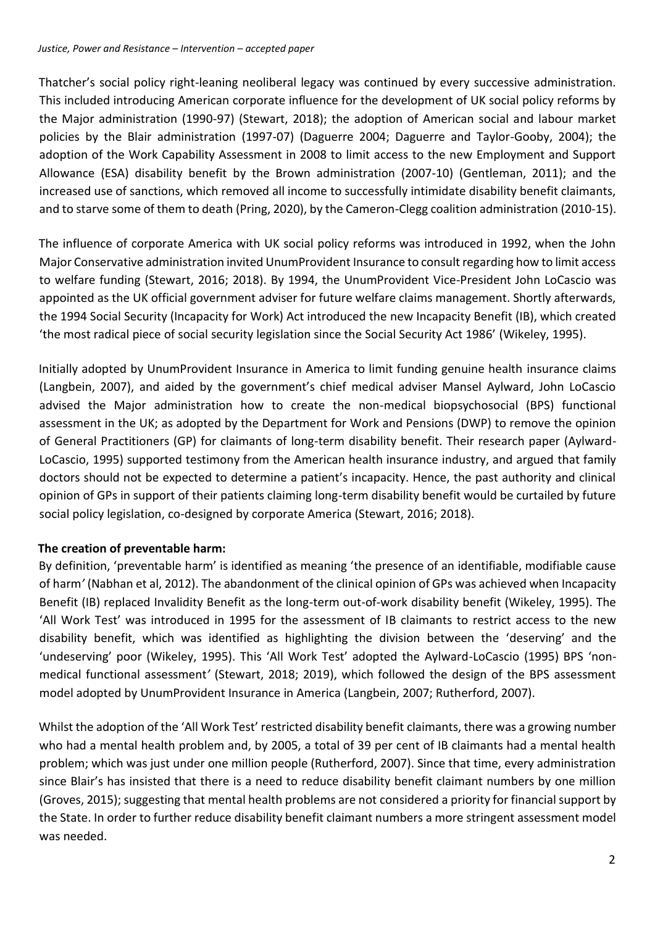Thatcher's social policy right-leaning neoliberal legacy was continued by every successive administration. This included introducing American corporate influence for the development of UK social policy reforms by the Major administration (1990-97) (Stewart, 2018); the adoption of American social and labour market policies by the Blair administration (1997-07) (Daguerre 2004; Daguerre and Taylor-Gooby, 2004); the adoption of the Work Capability Assessment in 2008 to limit access to the new Employment and Support Allowance (ESA) disability benefit by the Brown administration (2007-10) (Gentleman, 2011); and the increased use of sanctions, which removed all income to successfully intimidate disability benefit claimants, and to starve some of them to death (Pring, 2020), by the Cameron-Clegg coalition administration (2010-15).

The influence of corporate America with UK social policy reforms was introduced in 1992, when the John Major Conservative administration invited UnumProvident Insurance to consult regarding how to limit access to welfare funding (Stewart, 2016; 2018). By 1994, the UnumProvident Vice-President John LoCascio was appointed as the UK official government adviser for future welfare claims management. Shortly afterwards, the 1994 Social Security (Incapacity for Work) Act introduced the new Incapacity Benefit (IB), which created 'the most radical piece of social security legislation since the Social Security Act 1986' (Wikeley, 1995).

Initially adopted by UnumProvident Insurance in America to limit funding genuine health insurance claims (Langbein, 2007), and aided by the government's chief medical adviser Mansel Aylward, John LoCascio advised the Major administration how to create the non-medical biopsychosocial (BPS) functional assessment in the UK; as adopted by the Department for Work and Pensions (DWP) to remove the opinion of General Practitioners (GP) for claimants of long-term disability benefit. Their research paper (Aylward-LoCascio, 1995) supported testimony from the American health insurance industry, and argued that family doctors should not be expected to determine a patient's incapacity. Hence, the past authority and clinical opinion of GPs in support of their patients claiming long-term disability benefit would be curtailed by future social policy legislation, co-designed by corporate America (Stewart, 2016; 2018).

#### **The creation of preventable harm:**

By definition, 'preventable harm' is identified as meaning 'the presence of an identifiable, modifiable cause of harm*'* (Nabhan et al, 2012). The abandonment of the clinical opinion of GPs was achieved when Incapacity Benefit (IB) replaced Invalidity Benefit as the long-term out-of-work disability benefit (Wikeley, 1995). The 'All Work Test' was introduced in 1995 for the assessment of IB claimants to restrict access to the new disability benefit, which was identified as highlighting the division between the 'deserving' and the 'undeserving' poor (Wikeley, 1995). This 'All Work Test' adopted the Aylward-LoCascio (1995) BPS 'nonmedical functional assessment*'* (Stewart, 2018; 2019), which followed the design of the BPS assessment model adopted by UnumProvident Insurance in America (Langbein, 2007; Rutherford, 2007).

Whilst the adoption of the 'All Work Test' restricted disability benefit claimants, there was a growing number who had a mental health problem and, by 2005, a total of 39 per cent of IB claimants had a mental health problem; which was just under one million people (Rutherford, 2007). Since that time, every administration since Blair's has insisted that there is a need to reduce disability benefit claimant numbers by one million (Groves, 2015); suggesting that mental health problems are not considered a priority for financial support by the State. In order to further reduce disability benefit claimant numbers a more stringent assessment model was needed.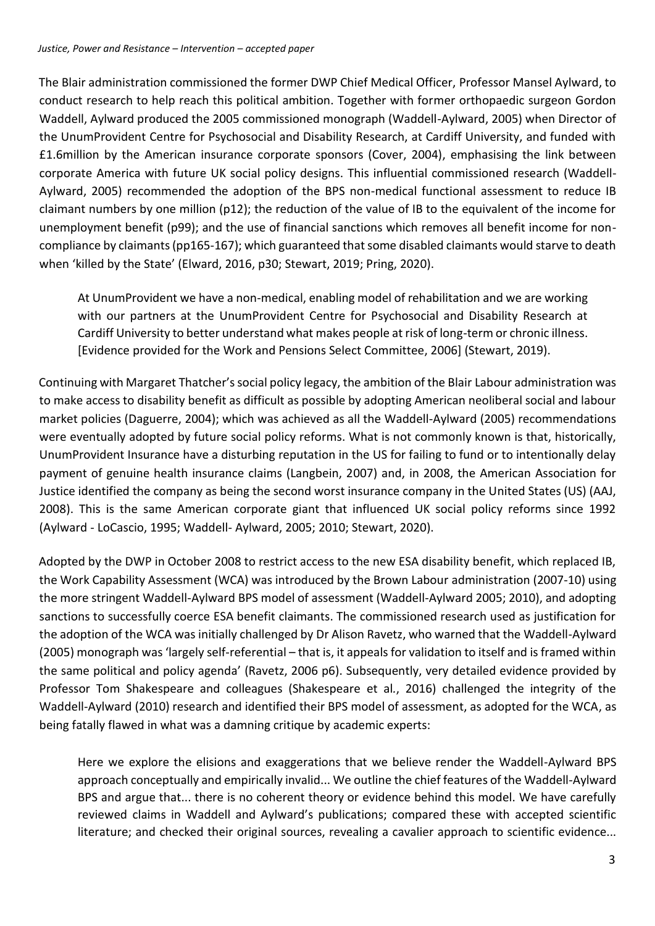The Blair administration commissioned the former DWP Chief Medical Officer, Professor Mansel Aylward, to conduct research to help reach this political ambition. Together with former orthopaedic surgeon Gordon Waddell, Aylward produced the 2005 commissioned monograph (Waddell-Aylward, 2005) when Director of the UnumProvident Centre for Psychosocial and Disability Research, at Cardiff University, and funded with £1.6million by the American insurance corporate sponsors (Cover, 2004), emphasising the link between corporate America with future UK social policy designs. This influential commissioned research (Waddell-Aylward, 2005) recommended the adoption of the BPS non-medical functional assessment to reduce IB claimant numbers by one million (p12); the reduction of the value of IB to the equivalent of the income for unemployment benefit (p99); and the use of financial sanctions which removes all benefit income for noncompliance by claimants (pp165-167); which guaranteed that some disabled claimants would starve to death when 'killed by the State' (Elward, 2016, p30; Stewart, 2019; Pring, 2020).

At UnumProvident we have a non-medical, enabling model of rehabilitation and we are working with our partners at the UnumProvident Centre for Psychosocial and Disability Research at Cardiff University to better understand what makes people at risk of long-term or chronic illness. [Evidence provided for the Work and Pensions Select Committee, 2006] (Stewart, 2019).

Continuing with Margaret Thatcher's social policy legacy, the ambition of the Blair Labour administration was to make access to disability benefit as difficult as possible by adopting American neoliberal social and labour market policies (Daguerre, 2004); which was achieved as all the Waddell-Aylward (2005) recommendations were eventually adopted by future social policy reforms. What is not commonly known is that, historically, UnumProvident Insurance have a disturbing reputation in the US for failing to fund or to intentionally delay payment of genuine health insurance claims (Langbein, 2007) and, in 2008, the American Association for Justice identified the company as being the second worst insurance company in the United States (US) (AAJ, 2008). This is the same American corporate giant that influenced UK social policy reforms since 1992 (Aylward - LoCascio, 1995; Waddell- Aylward, 2005; 2010; Stewart, 2020).

Adopted by the DWP in October 2008 to restrict access to the new ESA disability benefit, which replaced IB, the Work Capability Assessment (WCA) was introduced by the Brown Labour administration (2007-10) using the more stringent Waddell-Aylward BPS model of assessment (Waddell-Aylward 2005; 2010), and adopting sanctions to successfully coerce ESA benefit claimants. The commissioned research used as justification for the adoption of the WCA was initially challenged by Dr Alison Ravetz, who warned that the Waddell-Aylward (2005) monograph was 'largely self-referential – that is, it appeals for validation to itself and is framed within the same political and policy agenda' (Ravetz, 2006 p6). Subsequently, very detailed evidence provided by Professor Tom Shakespeare and colleagues (Shakespeare et al*.*, 2016) challenged the integrity of the Waddell-Aylward (2010) research and identified their BPS model of assessment, as adopted for the WCA, as being fatally flawed in what was a damning critique by academic experts:

Here we explore the elisions and exaggerations that we believe render the Waddell-Aylward BPS approach conceptually and empirically invalid... We outline the chief features of the Waddell-Aylward BPS and argue that... there is no coherent theory or evidence behind this model. We have carefully reviewed claims in Waddell and Aylward's publications; compared these with accepted scientific literature; and checked their original sources, revealing a cavalier approach to scientific evidence...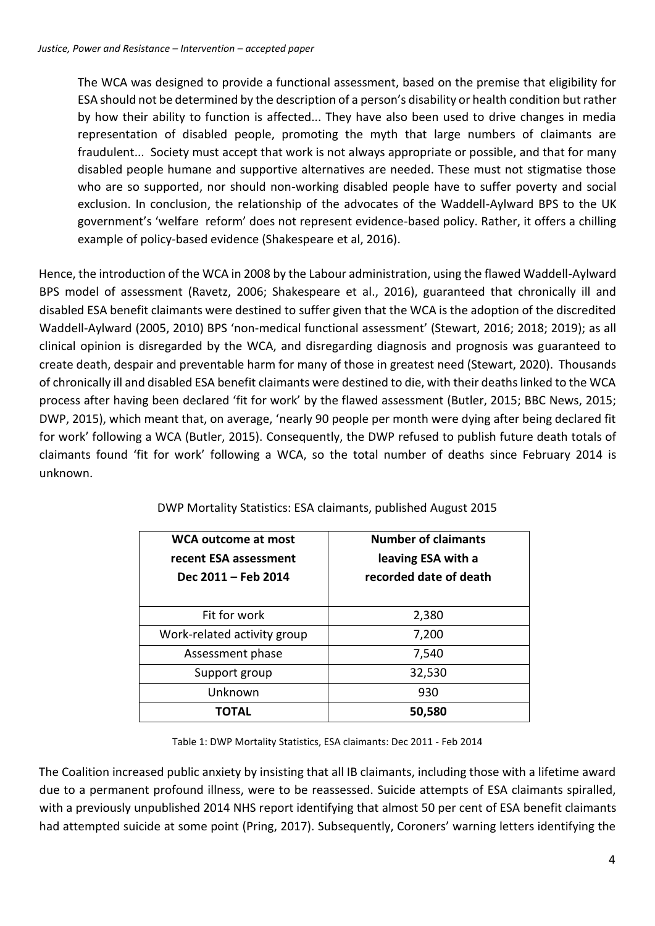The WCA was designed to provide a functional assessment, based on the premise that eligibility for ESA should not be determined by the description of a person's disability or health condition but rather by how their ability to function is affected... They have also been used to drive changes in media representation of disabled people, promoting the myth that large numbers of claimants are fraudulent... Society must accept that work is not always appropriate or possible, and that for many disabled people humane and supportive alternatives are needed. These must not stigmatise those who are so supported, nor should non-working disabled people have to suffer poverty and social exclusion. In conclusion, the relationship of the advocates of the Waddell-Aylward BPS to the UK government's 'welfare reform' does not represent evidence-based policy. Rather, it offers a chilling example of policy-based evidence (Shakespeare et al, 2016).

Hence, the introduction of the WCA in 2008 by the Labour administration, using the flawed Waddell-Aylward BPS model of assessment (Ravetz, 2006; Shakespeare et al., 2016), guaranteed that chronically ill and disabled ESA benefit claimants were destined to suffer given that the WCA is the adoption of the discredited Waddell-Aylward (2005, 2010) BPS 'non-medical functional assessment' (Stewart, 2016; 2018; 2019); as all clinical opinion is disregarded by the WCA, and disregarding diagnosis and prognosis was guaranteed to create death, despair and preventable harm for many of those in greatest need (Stewart, 2020). Thousands of chronically ill and disabled ESA benefit claimants were destined to die, with their deaths linked to the WCA process after having been declared 'fit for work' by the flawed assessment (Butler, 2015; BBC News, 2015; DWP, 2015), which meant that, on average, 'nearly 90 people per month were dying after being declared fit for work' following a WCA (Butler, 2015). Consequently, the DWP refused to publish future death totals of claimants found 'fit for work' following a WCA, so the total number of deaths since February 2014 is unknown.

| WCA outcome at most<br>recent ESA assessment<br>Dec 2011 - Feb 2014 | <b>Number of claimants</b><br>leaving ESA with a<br>recorded date of death |
|---------------------------------------------------------------------|----------------------------------------------------------------------------|
| Fit for work                                                        | 2,380                                                                      |
| Work-related activity group                                         | 7,200                                                                      |
| Assessment phase                                                    | 7,540                                                                      |
| Support group                                                       | 32,530                                                                     |
| Unknown                                                             | 930                                                                        |
| ΤΟΤΑL                                                               | 50,580                                                                     |

DWP Mortality Statistics: ESA claimants, published August 2015

Table 1: DWP Mortality Statistics, ESA claimants: Dec 2011 - Feb 2014

The Coalition increased public anxiety by insisting that all IB claimants, including those with a lifetime award due to a permanent profound illness, were to be reassessed. Suicide attempts of ESA claimants spiralled, with a previously unpublished 2014 NHS report identifying that almost 50 per cent of ESA benefit claimants had attempted suicide at some point (Pring, 2017). Subsequently, Coroners' warning letters identifying the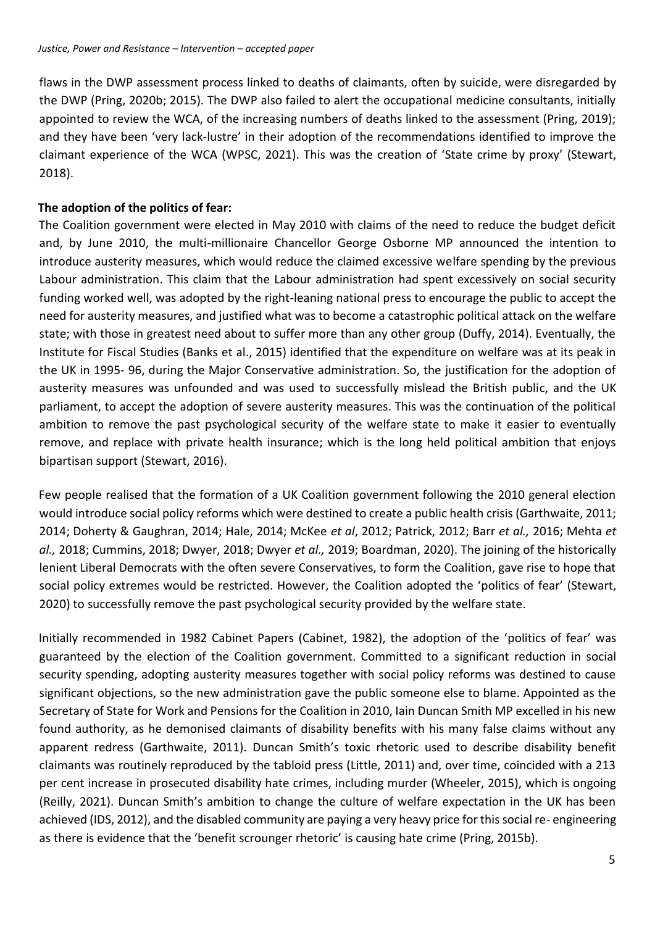flaws in the DWP assessment process linked to deaths of claimants, often by suicide, were disregarded by the DWP (Pring, 2020b; 2015). The DWP also failed to alert the occupational medicine consultants, initially appointed to review the WCA, of the increasing numbers of deaths linked to the assessment (Pring, 2019); and they have been 'very lack-lustre' in their adoption of the recommendations identified to improve the claimant experience of the WCA (WPSC, 2021). This was the creation of 'State crime by proxy' (Stewart, 2018).

#### **The adoption of the politics of fear:**

The Coalition government were elected in May 2010 with claims of the need to reduce the budget deficit and, by June 2010, the multi-millionaire Chancellor George Osborne MP announced the intention to introduce austerity measures, which would reduce the claimed excessive welfare spending by the previous Labour administration. This claim that the Labour administration had spent excessively on social security funding worked well, was adopted by the right-leaning national press to encourage the public to accept the need for austerity measures, and justified what was to become a catastrophic political attack on the welfare state; with those in greatest need about to suffer more than any other group (Duffy, 2014). Eventually, the Institute for Fiscal Studies (Banks et al., 2015) identified that the expenditure on welfare was at its peak in the UK in 1995- 96, during the Major Conservative administration. So, the justification for the adoption of austerity measures was unfounded and was used to successfully mislead the British public, and the UK parliament, to accept the adoption of severe austerity measures. This was the continuation of the political ambition to remove the past psychological security of the welfare state to make it easier to eventually remove, and replace with private health insurance; which is the long held political ambition that enjoys bipartisan support (Stewart, 2016).

Few people realised that the formation of a UK Coalition government following the 2010 general election would introduce social policy reforms which were destined to create a public health crisis (Garthwaite, 2011; 2014; Doherty & Gaughran, 2014; Hale, 2014; McKee *et al*, 2012; Patrick, 2012; Barr *et al.,* 2016; Mehta *et al.,* 2018; Cummins, 2018; Dwyer, 2018; Dwyer *et al.,* 2019; Boardman, 2020). The joining of the historically lenient Liberal Democrats with the often severe Conservatives, to form the Coalition, gave rise to hope that social policy extremes would be restricted. However, the Coalition adopted the 'politics of fear' (Stewart, 2020) to successfully remove the past psychological security provided by the welfare state.

Initially recommended in 1982 Cabinet Papers (Cabinet, 1982), the adoption of the 'politics of fear' was guaranteed by the election of the Coalition government. Committed to a significant reduction in social security spending, adopting austerity measures together with social policy reforms was destined to cause significant objections, so the new administration gave the public someone else to blame. Appointed as the Secretary of State for Work and Pensions for the Coalition in 2010, Iain Duncan Smith MP excelled in his new found authority, as he demonised claimants of disability benefits with his many false claims without any apparent redress (Garthwaite, 2011). Duncan Smith's toxic rhetoric used to describe disability benefit claimants was routinely reproduced by the tabloid press (Little, 2011) and, over time, coincided with a 213 per cent increase in prosecuted disability hate crimes, including murder (Wheeler, 2015), which is ongoing (Reilly, 2021). Duncan Smith's ambition to change the culture of welfare expectation in the UK has been achieved (IDS, 2012), and the disabled community are paying a very heavy price for this social re- engineering as there is evidence that the 'benefit scrounger rhetoric' is causing hate crime (Pring, 2015b).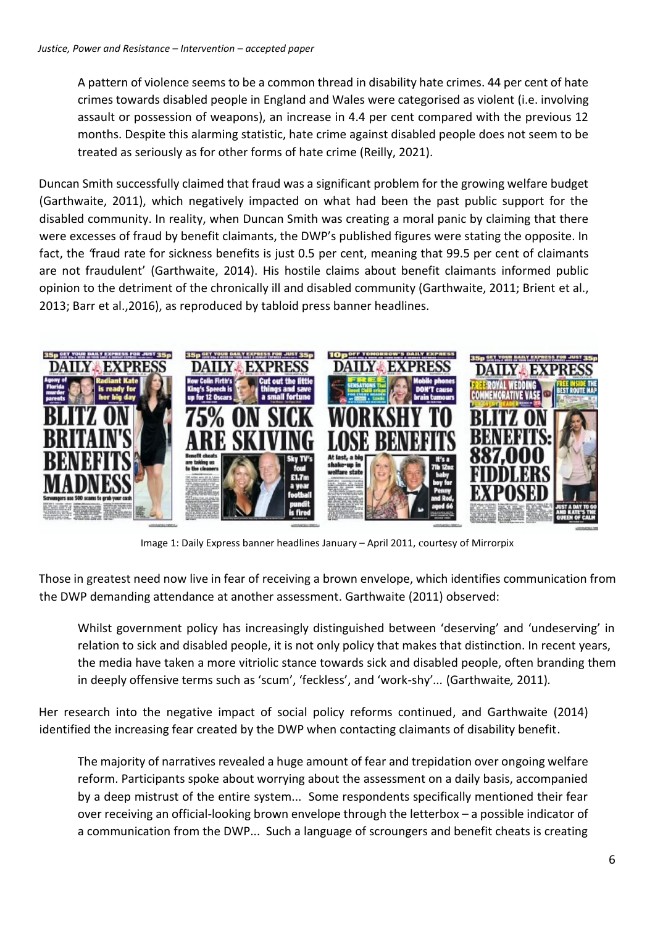A pattern of violence seems to be a common thread in disability hate crimes. 44 per cent of hate crimes towards disabled people in England and Wales were categorised as violent (i.e. involving assault or possession of weapons), an increase in 4.4 per cent compared with the previous 12 months. Despite this alarming statistic, hate crime against disabled people does not seem to be treated as seriously as for other forms of hate crime (Reilly, 2021).

Duncan Smith successfully claimed that fraud was a significant problem for the growing welfare budget (Garthwaite, 2011), which negatively impacted on what had been the past public support for the disabled community. In reality, when Duncan Smith was creating a moral panic by claiming that there were excesses of fraud by benefit claimants, the DWP's published figures were stating the opposite. In fact, the *'*fraud rate for sickness benefits is just 0.5 per cent, meaning that 99.5 per cent of claimants are not fraudulent' (Garthwaite, 2014). His hostile claims about benefit claimants informed public opinion to the detriment of the chronically ill and disabled community (Garthwaite, 2011; Brient et al., 2013; Barr et al.,2016), as reproduced by tabloid press banner headlines.



Image 1: Daily Express banner headlines January – April 2011, courtesy of Mirrorpix

Those in greatest need now live in fear of receiving a brown envelope, which identifies communication from the DWP demanding attendance at another assessment. Garthwaite (2011) observed:

Whilst government policy has increasingly distinguished between 'deserving' and 'undeserving' in relation to sick and disabled people, it is not only policy that makes that distinction. In recent years, the media have taken a more vitriolic stance towards sick and disabled people, often branding them in deeply offensive terms such as 'scum', 'feckless', and 'work-shy'*...* (Garthwaite*,* 2011)*.*

Her research into the negative impact of social policy reforms continued, and Garthwaite (2014) identified the increasing fear created by the DWP when contacting claimants of disability benefit.

The majority of narratives revealed a huge amount of fear and trepidation over ongoing welfare reform. Participants spoke about worrying about the assessment on a daily basis, accompanied by a deep mistrust of the entire system... Some respondents specifically mentioned their fear over receiving an official-looking brown envelope through the letterbox – a possible indicator of a communication from the DWP... Such a language of scroungers and benefit cheats is creating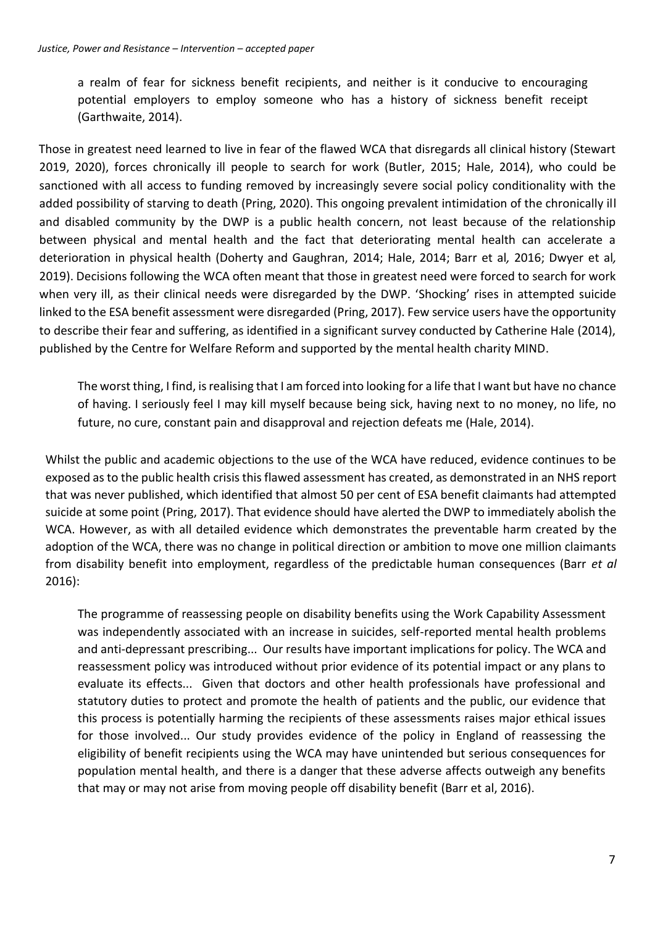a realm of fear for sickness benefit recipients, and neither is it conducive to encouraging potential employers to employ someone who has a history of sickness benefit receipt (Garthwaite, 2014).

Those in greatest need learned to live in fear of the flawed WCA that disregards all clinical history (Stewart 2019, 2020), forces chronically ill people to search for work (Butler, 2015; Hale, 2014), who could be sanctioned with all access to funding removed by increasingly severe social policy conditionality with the added possibility of starving to death (Pring, 2020). This ongoing prevalent intimidation of the chronically ill and disabled community by the DWP is a public health concern, not least because of the relationship between physical and mental health and the fact that deteriorating mental health can accelerate a deterioration in physical health (Doherty and Gaughran, 2014; Hale, 2014; Barr et al*,* 2016; Dwyer et al*,*  2019). Decisions following the WCA often meant that those in greatest need were forced to search for work when very ill, as their clinical needs were disregarded by the DWP. 'Shocking' rises in attempted suicide linked to the ESA benefit assessment were disregarded (Pring, 2017). Few service users have the opportunity to describe their fear and suffering, as identified in a significant survey conducted by Catherine Hale (2014), published by the Centre for Welfare Reform and supported by the mental health charity MIND.

The worst thing, I find, is realising that I am forced into looking for a life that I want but have no chance of having. I seriously feel I may kill myself because being sick, having next to no money, no life, no future, no cure, constant pain and disapproval and rejection defeats me (Hale, 2014).

Whilst the public and academic objections to the use of the WCA have reduced, evidence continues to be exposed as to the public health crisis this flawed assessment has created, as demonstrated in an NHS report that was never published, which identified that almost 50 per cent of ESA benefit claimants had attempted suicide at some point (Pring, 2017). That evidence should have alerted the DWP to immediately abolish the WCA. However, as with all detailed evidence which demonstrates the preventable harm created by the adoption of the WCA, there was no change in political direction or ambition to move one million claimants from disability benefit into employment, regardless of the predictable human consequences (Barr *et al* 2016):

The programme of reassessing people on disability benefits using the Work Capability Assessment was independently associated with an increase in suicides, self-reported mental health problems and anti-depressant prescribing... Our results have important implications for policy. The WCA and reassessment policy was introduced without prior evidence of its potential impact or any plans to evaluate its effects... Given that doctors and other health professionals have professional and statutory duties to protect and promote the health of patients and the public, our evidence that this process is potentially harming the recipients of these assessments raises major ethical issues for those involved... Our study provides evidence of the policy in England of reassessing the eligibility of benefit recipients using the WCA may have unintended but serious consequences for population mental health, and there is a danger that these adverse affects outweigh any benefits that may or may not arise from moving people off disability benefit (Barr et al, 2016).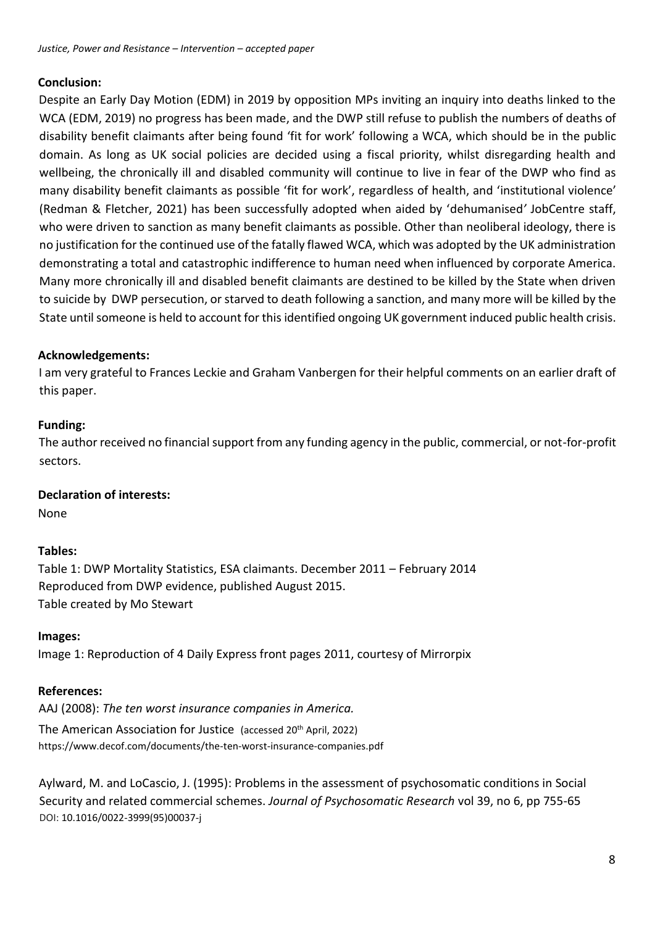### **Conclusion:**

Despite an Early Day Motion (EDM) in 2019 by opposition MPs inviting an inquiry into deaths linked to the WCA (EDM, 2019) no progress has been made, and the DWP still refuse to publish the numbers of deaths of disability benefit claimants after being found 'fit for work' following a WCA, which should be in the public domain. As long as UK social policies are decided using a fiscal priority, whilst disregarding health and wellbeing, the chronically ill and disabled community will continue to live in fear of the DWP who find as many disability benefit claimants as possible 'fit for work', regardless of health, and 'institutional violence' (Redman & Fletcher, 2021) has been successfully adopted when aided by 'dehumanised*'* JobCentre staff, who were driven to sanction as many benefit claimants as possible. Other than neoliberal ideology, there is no justification for the continued use of the fatally flawed WCA, which was adopted by the UK administration demonstrating a total and catastrophic indifference to human need when influenced by corporate America. Many more chronically ill and disabled benefit claimants are destined to be killed by the State when driven to suicide by DWP persecution, or starved to death following a sanction, and many more will be killed by the State until someone is held to account for this identified ongoing UK government induced public health crisis.

# **Acknowledgements:**

I am very grateful to Frances Leckie and Graham Vanbergen for their helpful comments on an earlier draft of this paper.

### **Funding:**

The author received no financial support from any funding agency in the public, commercial, or not-for-profit sectors.

#### **Declaration of interests:**

None

# **Tables:**

Table 1: DWP Mortality Statistics, ESA claimants. December 2011 – February 2014 Reproduced from DWP evidence, published August 2015. Table created by Mo Stewart

#### **Images:**

Image 1: Reproduction of 4 Daily Express front pages 2011, courtesy of Mirrorpix

#### **References:**

AAJ (2008): *The ten worst insurance companies in America.* 

The American Association for Justice (accessed 20<sup>th</sup> April, 2022) <https://www.decof.com/documents/the-ten-worst-insurance-companies.pdf>

Aylward, M. and LoCascio, J. (1995): Problems in the assessment of psychosomatic conditions in Social Security and related commercial schemes. *Journal of Psychosomatic Research* vol 39, no 6, pp 755-65 DOI: [10.1016/0022-3999\(95\)00037-j](https://doi.org/10.1016/0022-3999(95)00037-j)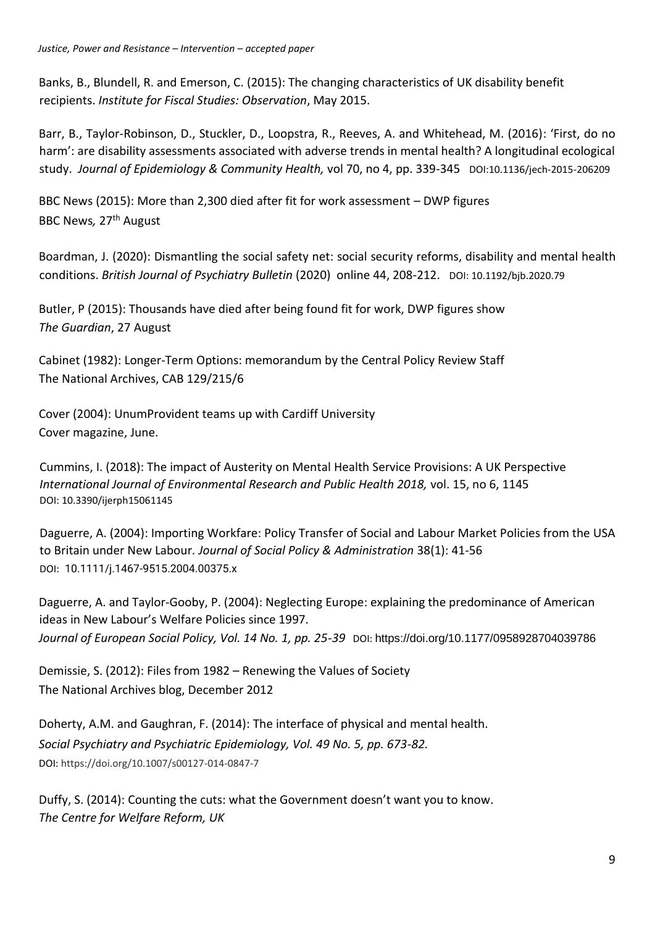Banks, B., Blundell, R. and Emerson, C. (2015): The changing characteristics of UK disability benefit recipients. *Institute for Fiscal Studies: Observation*, May 2015.

Barr, B., Taylor-Robinson, D., Stuckler, D., Loopstra, R., Reeves, A. and Whitehead, M. (2016): 'First, do no harm': are disability assessments associated with adverse trends in mental health? A longitudinal ecological study. *Journal of Epidemiology & Community Health,* vol 70, no 4, pp. 339-345 DOI:10.1136/jech-2015-206209

BBC News (2015): More than 2,300 died after fit for work assessment – DWP figures BBC News*,* 27th August

Boardman, J. (2020): Dismantling the social safety net: social security reforms, disability and mental health conditions. *British Journal of Psychiatry Bulletin* (2020) online 44, 208-212. DOI: 10.1192/bjb.2020.79

Butler, P (2015): Thousands have died after being found fit for work, DWP figures show *The Guardian*, 27 August

Cabinet (1982): Longer-Term Options: memorandum by the Central Policy Review Staff The National Archives, CAB 129/215/6

Cover (2004): UnumProvident teams up with Cardiff University Cover magazine, June.

Cummins, I. (2018): The impact of Austerity on Mental Health Service Provisions: A UK Perspective *International Journal of Environmental Research and Public Health 2018,* vol. 15, no 6, 1145 DOI: 10.3390/ijerph15061145

Daguerre, A. (2004): Importing Workfare: Policy Transfer of Social and Labour Market Policies from the USA to Britain under New Labour*. Journal of Social Policy & Administration* 38(1): 41-56 DOI: [10.1111/j.1467-9515.2004.00375.x](http://dx.doi.org/10.1111/j.1467-9515.2004.00375.x)

Daguerre, A. and Taylor-Gooby, P. (2004): Neglecting Europe: explaining the predominance of American ideas in New Labour's Welfare Policies since 1997. *Journal of European Social Policy, Vol. 14 No. 1, pp. 25-39* DOI: [https://doi.org/10.1177/0958928704039786](https://doi.org/10.1177%2F0958928704039786)

Demissie, S. (2012): Files from 1982 – Renewing the Values of Society The National Archives blog, December 2012

Doherty, A.M. and Gaughran, F. (2014): The interface of physical and mental health. *Social Psychiatry and Psychiatric Epidemiology, Vol. 49 No. 5, pp. 673-82.*  DOI: https://doi.org/10.1007/s00127-014-0847-7

Duffy, S. (2014): Counting the cuts: what the Government doesn't want you to know. *The Centre for Welfare Reform, UK*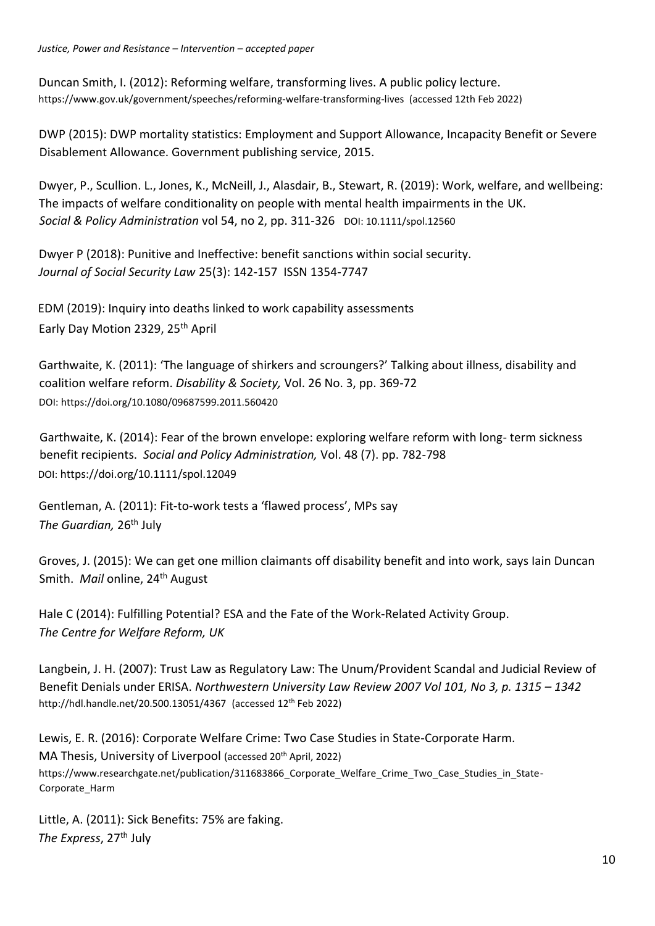Duncan Smith, I. (2012): Reforming welfare, transforming lives. A public policy lecture. [https://www.gov.uk/government/speeches/reforming-welfare-transforming-lives \(](https://www.gov.uk/government/speeches/reforming-welfare-transforming-lives)accessed 12th Feb 2022)

DWP (2015): DWP mortality statistics: Employment and Support Allowance, Incapacity Benefit or Severe Disablement Allowance. Government publishing service, 2015.

Dwyer, P., Scullion. L., Jones, K., McNeill, J., Alasdair, B., Stewart, R. (2019): Work, welfare, and wellbeing: The impacts of welfare conditionality on people with mental health impairments in the UK. *Social & Policy Administration* vol 54, no 2, pp. 311-326 DOI: 10.1111/spol.12560

Dwyer P (2018): Punitive and Ineffective: benefit sanctions within social security. *Journal of Social Security Law* 25(3): 142-157 ISSN 1354-7747

EDM (2019): Inquiry into deaths linked to work capability assessments Early Day Motion 2329, 25<sup>th</sup> April

Garthwaite, K. (2011): 'The language of shirkers and scroungers?' Talking about illness, disability and coalition welfare reform. *Disability & Society,* Vol. 26 No. 3, pp. 369-72 DOI[: https://doi.org/10.1080/09687599.2011.560420](https://doi.org/10.1080/09687599.2011.560420)

Garthwaite, K. (2014): Fear of the brown envelope: exploring welfare reform with long- term sickness benefit recipients. *Social and Policy Administration,* Vol. 48 (7). pp. 782-798 DOI: <https://doi.org/10.1111/spol.12049>

Gentleman, A. (2011): Fit-to-work tests a 'flawed process', MPs say *The Guardian,* 26th July

Groves, J. (2015): We can get one million claimants off disability benefit and into work, says Iain Duncan Smith. *Mail* online, 24<sup>th</sup> August

Hale C (2014): Fulfilling Potential[?](https://www.centreforwelfarereform.org/uploads/attachment/428/fulfilling-potential.pdf) [ESA and the Fate of the Work-Related Activity Group.](https://www.centreforwelfarereform.org/uploads/attachment/428/fulfilling-potential.pdf)  *The Centre for Welfare Reform, UK* 

Langbein, J. H. (2007): Trust Law as Regulatory Law: The Unum/Provident Scandal and Judicial Review of Benefit Denials under ERISA. *Northwestern University Law Review 2007 Vol 101, No 3, p. 1315 - 1342* http://hdl.handle.net/20.500.13051/4367 (accessed 12th Feb 2022)

Lewis, E. R. (2016): Corporate Welfare Crime: Two Case Studies in State-Corporate Harm. MA Thesis, University of Liverpool (accessed 20<sup>th</sup> April, 2022) https://www.researchgate.net/publication/311683866 Corporate Welfare Crime Two Case Studies in State-Corporate\_Harm

Little, A. (2011): Sick Benefits: 75% are faking. *The Express*, 27th July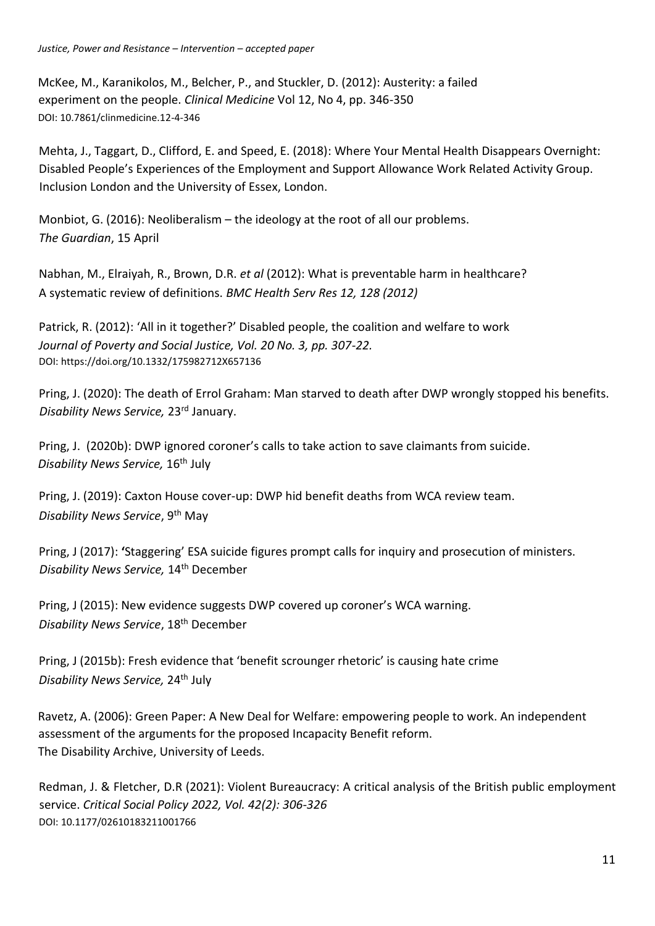McKee, M., Karanikolos, M., Belcher, P., and Stuckler, D. (2012): Austerity: a failed experiment on the people. *Clinical Medicine* Vol 12, No 4, pp. 346-350 DOI: 10.7861/clinmedicine.12-4-346

Mehta, J., Taggart, D., Clifford, E. and Speed, E. (2018): Where Your Mental Health Disappears Overnight: Disabled People's Experiences of the Employment and Support Allowance Work Related Activity Group. Inclusion London and the University of Essex, London.

Monbiot, G. (2016): Neoliberalism – the ideology at the root of all our problems. *The Guardian*, 15 April

Nabhan, M., Elraiyah, R., Brown, D.R. *et al* (2012): What is preventable harm in healthcare? A systematic review of definitions. *BMC Health Serv Res 12, 128 (2012)*

Patrick, R. (2012): 'All in it together?' Disabled people, the coalition and welfare to work *Journal of Poverty and Social Justice, Vol. 20 No. 3, pp. 307-22.*  DOI: https://doi.org/10.1332/175982712X657136

Pring, J. (2020): The death of Errol Graham: Man starved to death after DWP wrongly stopped his benefits. *Disability News Service,* 23rd January.

Pring, J. (2020b): DWP ignored coroner's calls to take action to save claimants from suicide. *Disability News Service,* 16th July

Pring, J. (2019): Caxton House cover-up: DWP hid benefit deaths from WCA review team. *Disability News Service*, 9th May

Pring, J (2017): **'**Staggering' ESA suicide figures prompt calls for inquiry and prosecution of ministers. *Disability News Service,* 14th December

Pring, J (2015): New evidence suggests DWP covered up coroner's WCA warning. *Disability News Service*, 18th December

Pring, J (2015b): Fresh evidence that 'benefit scrounger rhetoric' is causing hate crime *Disability News Service,* 24th July

Ravetz, A. (2006): Green Paper: A New Deal for Welfare: empowering people to work. An independent assessment of the arguments for the proposed Incapacity Benefit reform. The Disability Archive, University of Leeds.

Redman, J. & Fletcher, D.R (2021): Violent Bureaucracy: A critical analysis of the British public employment service. *Critical Social Policy 2022, Vol. 42(2): 306-326* DOI: 10.1177/02610183211001766